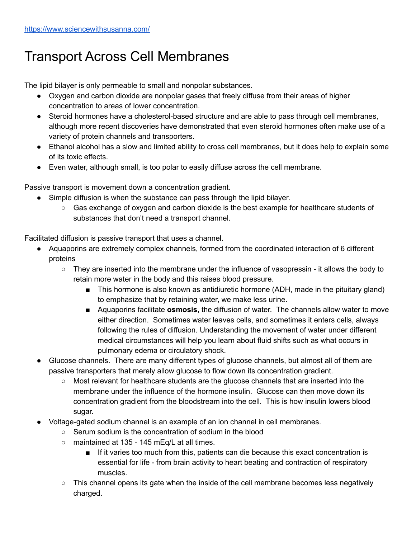## Transport Across Cell Membranes

The lipid bilayer is only permeable to small and nonpolar substances.

- Oxygen and carbon dioxide are nonpolar gases that freely diffuse from their areas of higher concentration to areas of lower concentration.
- Steroid hormones have a cholesterol-based structure and are able to pass through cell membranes, although more recent discoveries have demonstrated that even steroid hormones often make use of a variety of protein channels and transporters.
- Ethanol alcohol has a slow and limited ability to cross cell membranes, but it does help to explain some of its toxic effects.
- Even water, although small, is too polar to easily diffuse across the cell membrane.

Passive transport is movement down a concentration gradient.

- Simple diffusion is when the substance can pass through the lipid bilayer.
	- Gas exchange of oxygen and carbon dioxide is the best example for healthcare students of substances that don't need a transport channel.

Facilitated diffusion is passive transport that uses a channel.

- Aquaporins are extremely complex channels, formed from the coordinated interaction of 6 different proteins
	- They are inserted into the membrane under the influence of vasopressin it allows the body to retain more water in the body and this raises blood pressure.
		- This hormone is also known as antidiuretic hormone (ADH, made in the pituitary gland) to emphasize that by retaining water, we make less urine.
		- Aquaporins facilitate **osmosis**, the diffusion of water. The channels allow water to move either direction. Sometimes water leaves cells, and sometimes it enters cells, always following the rules of diffusion. Understanding the movement of water under different medical circumstances will help you learn about fluid shifts such as what occurs in pulmonary edema or circulatory shock.
- Glucose channels. There are many different types of glucose channels, but almost all of them are passive transporters that merely allow glucose to flow down its concentration gradient.
	- Most relevant for healthcare students are the glucose channels that are inserted into the membrane under the influence of the hormone insulin. Glucose can then move down its concentration gradient from the bloodstream into the cell. This is how insulin lowers blood sugar.
- Voltage-gated sodium channel is an example of an ion channel in cell membranes.
	- Serum sodium is the concentration of sodium in the blood
	- maintained at 135 145 mEq/L at all times.
		- If it varies too much from this, patients can die because this exact concentration is essential for life - from brain activity to heart beating and contraction of respiratory muscles.
	- $\circ$  This channel opens its gate when the inside of the cell membrane becomes less negatively charged.